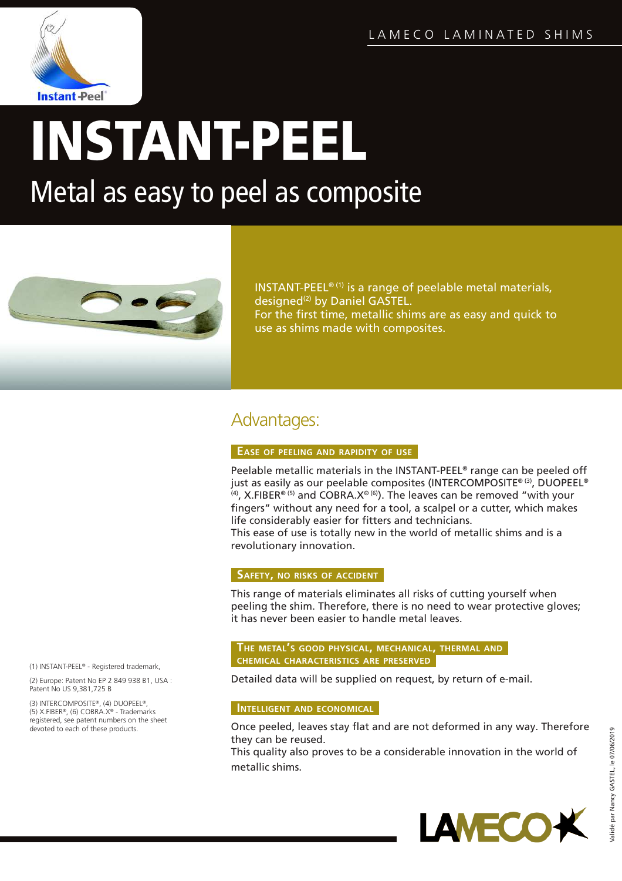

# INSTANT-PEEL

Metal as easy to peel as composite



INSTANT-PEEL® (1) is a range of peelable metal materials, designed<sup>(2)</sup> by Daniel GASTEL. For the first time, metallic shims are as easy and quick to use as shims made with composites.

## Advantages:

#### **EASE OF PEELING AND RAPIDITY OF USE**

Peelable metallic materials in the INSTANT-PEEL® range can be peeled off just as easily as our peelable composites (INTERCOMPOSITE® (3), DUOPEEL®  $^{(4)}$ , X.FIBER<sup>® (5)</sup> and COBRA.X<sup>® (6)</sup>). The leaves can be removed "with your fingers" without any need for a tool, a scalpel or a cutter, which makes life considerably easier for fitters and technicians. This ease of use is totally new in the world of metallic shims and is a revolutionary innovation.

#### **SAFETY, NO RISKS OF ACCIDENT**

This range of materials eliminates all risks of cutting yourself when peeling the shim. Therefore, there is no need to wear protective gloves; it has never been easier to handle metal leaves.

#### **THE METAL'<sup>S</sup> GOOD PHYSICAL, MECHANICAL, THERMAL AND CHEMICAL CHARACTERISTICS ARE PRESERVED**

Detailed data will be supplied on request, by return of e-mail.

#### **INTELLIGENT AND ECONOMICAL**

Once peeled, leaves stay flat and are not deformed in any way. Therefore they can be reused.

This quality also proves to be a considerable innovation in the world of metallic shims.



(1) INSTANT-PEEL® - Registered trademark,

(2) Europe: Patent No EP 2 849 938 B1, USA : Patent No US 9,381,725 B

(3) INTERCOMPOSITE®, (4) DUOPEEL®, (5) X.FIBER®, (6) COBRA.X® - Trademarks registered, see patent numbers on the sheet devoted to each of these products.